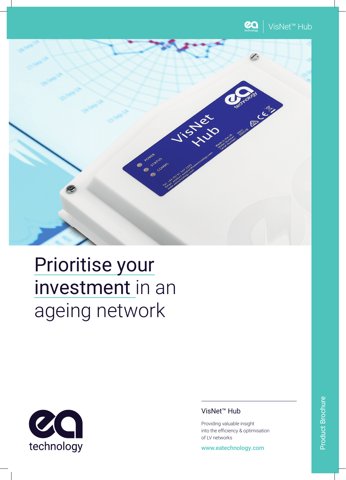



# Prioritise your investment in an ageing network



## VisNet™ Hub

Providing valuable insight into the efficiency & optimisation of LV networks

www.eatechnology.com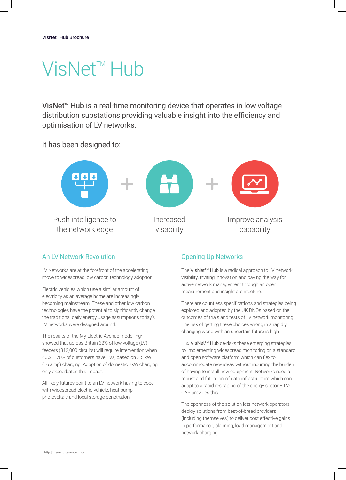## VisNet<sup>™</sup> Hub

VisNet<sup> $M$ </sup> Hub is a real-time monitoring device that operates in low voltage distribution substations providing valuable insight into the efficiency and optimisation of LV networks.

It has been designed to:



#### An LV Network Revolution

LV Networks are at the forefront of the accelerating move to widespread low carbon technology adoption.

Electric vehicles which use a similar amount of electricity as an average home are increasingly becoming mainstream. These and other low carbon technologies have the potential to significantly change the traditional daily energy usage assumptions today's LV networks were designed around.

The results of the My Electric Avenue modelling\* showed that across Britain 32% of low voltage (LV) feeders (312,000 circuits) will require intervention when 40% – 70% of customers have EVs, based on 3.5 kW (16 amp) charging. Adoption of domestic 7kW charging only exacerbates this impact.

All likely futures point to an LV network having to cope with widespread electric vehicle, heat pump, photovoltaic and local storage penetration.

### Opening Up Networks

The VisNet™ Hub is a radical approach to LV network visibility, inviting innovation and paving the way for active network management through an open measurement and insight architecture.

There are countless specifications and strategies being explored and adopted by the UK DNOs based on the outcomes of trials and tests of LV network monitoring. The risk of getting these choices wrong in a rapidly changing world with an uncertain future is high.

The VisNet™ Hub de-risks these emerging strategies by implementing widespread monitoring on a standard and open software platform which can flex to accommodate new ideas without incurring the burden of having to install new equipment. Networks need a robust and future proof data infrastructure which can adapt to a rapid reshaping of the energy sector – LV-CAP provides this.

The openness of the solution lets network operators deploy solutions from best-of-breed providers (including themselves) to deliver cost effective gains in performance, planning, load management and network charging.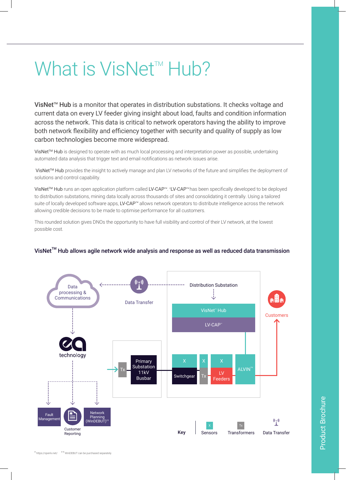# What is VisNet<sup> $M$ </sup> Hub?

VisNet<sup>™</sup> Hub is a monitor that operates in distribution substations. It checks voltage and current data on every LV feeder giving insight about load, faults and condition information across the network. This data is critical to network operators having the ability to improve both network flexibility and efficiency together with security and quality of supply as low carbon technologies become more widespread.

VisNet™ Hub is designed to operate with as much local processing and interpretation power as possible, undertaking automated data analysis that trigger text and email notifications as network issues arise.

VisNet™ Hub provides the insight to actively manage and plan LV networks of the future and simplifies the deployment of solutions and control capability.

VisNet™ Hub runs an open application platform called LV-CAP™. †LV-CAP™ has been specifically developed to be deployed to distribution substations, mining data locally across thousands of sites and consolidating it centrally. Using a tailored suite of locally developed software apps, LV-CAP<sup>™</sup> allows network operators to distribute intelligence across the network allowing credible decisions to be made to optimise performance for all customers.

This rounded solution gives DNOs the opportunity to have full visibility and control of their LV network, at the lowest possible cost.



#### $V$ isNet<sup>™</sup> Hub allows agile network wide analysis and response as well as reduced data transmission